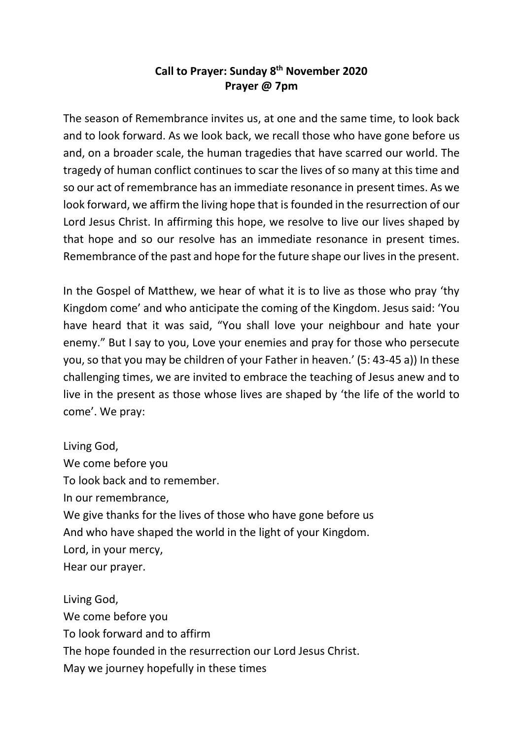## **Call to Prayer: Sunday 8th November 2020 Prayer @ 7pm**

The season of Remembrance invites us, at one and the same time, to look back and to look forward. As we look back, we recall those who have gone before us and, on a broader scale, the human tragedies that have scarred our world. The tragedy of human conflict continues to scar the lives of so many at this time and so our act of remembrance has an immediate resonance in present times. As we look forward, we affirm the living hope that is founded in the resurrection of our Lord Jesus Christ. In affirming this hope, we resolve to live our lives shaped by that hope and so our resolve has an immediate resonance in present times. Remembrance of the past and hope for the future shape our lives in the present.

In the Gospel of Matthew, we hear of what it is to live as those who pray 'thy Kingdom come' and who anticipate the coming of the Kingdom. Jesus said: 'You have heard that it was said, "You shall love your neighbour and hate your enemy." But I say to you, Love your enemies and pray for those who persecute you, so that you may be children of your Father in heaven.' (5: 43-45 a)) In these challenging times, we are invited to embrace the teaching of Jesus anew and to live in the present as those whose lives are shaped by 'the life of the world to come'. We pray:

Living God, We come before you To look back and to remember. In our remembrance, We give thanks for the lives of those who have gone before us And who have shaped the world in the light of your Kingdom. Lord, in your mercy, Hear our prayer.

Living God, We come before you To look forward and to affirm The hope founded in the resurrection our Lord Jesus Christ. May we journey hopefully in these times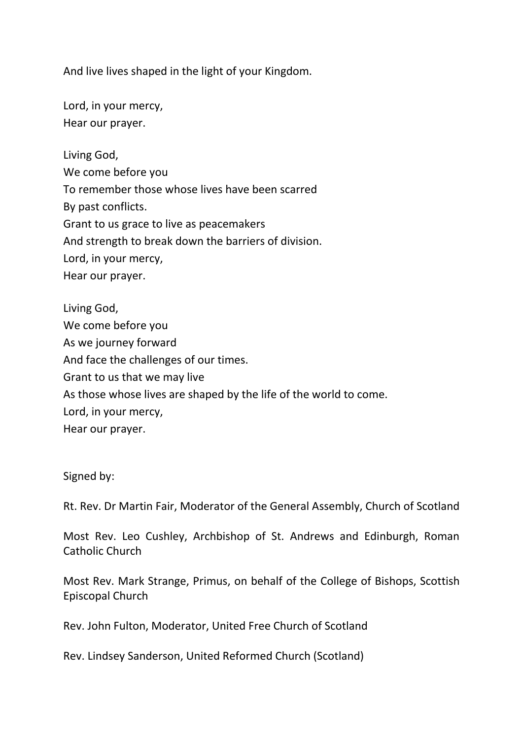And live lives shaped in the light of your Kingdom.

Lord, in your mercy, Hear our prayer.

Living God,

We come before you To remember those whose lives have been scarred By past conflicts. Grant to us grace to live as peacemakers And strength to break down the barriers of division. Lord, in your mercy, Hear our prayer.

Living God, We come before you As we journey forward And face the challenges of our times. Grant to us that we may live As those whose lives are shaped by the life of the world to come. Lord, in your mercy, Hear our prayer.

Signed by:

Rt. Rev. Dr Martin Fair, Moderator of the General Assembly, Church of Scotland

Most Rev. Leo Cushley, Archbishop of St. Andrews and Edinburgh, Roman Catholic Church

Most Rev. Mark Strange, Primus, on behalf of the College of Bishops, Scottish Episcopal Church

Rev. John Fulton, Moderator, United Free Church of Scotland

Rev. Lindsey Sanderson, United Reformed Church (Scotland)